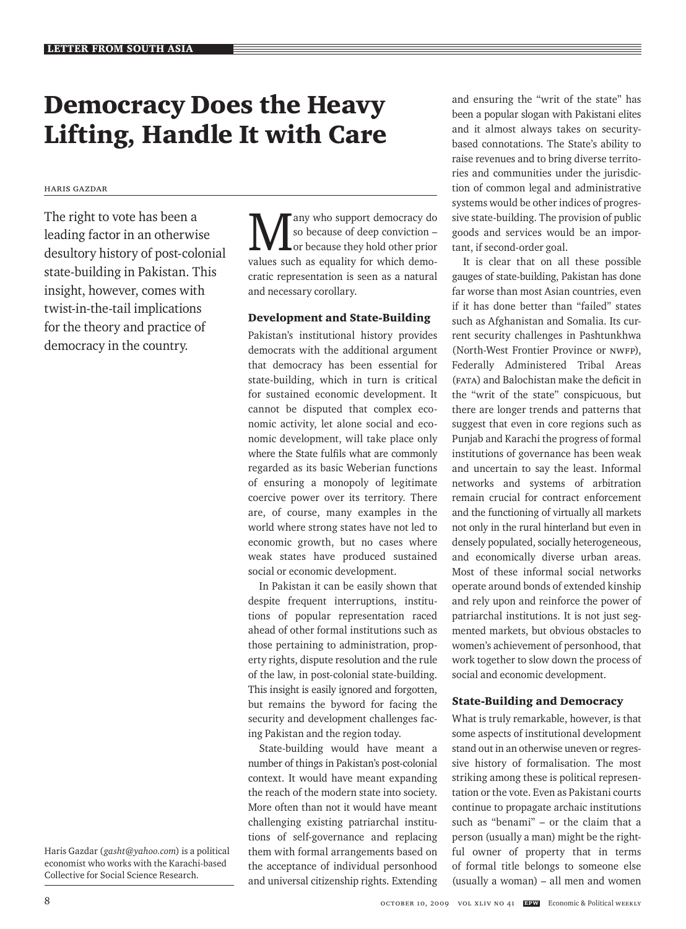# Democracy Does the Heavy Lifting, Handle It with Care

### Haris Gazdar

The right to vote has been a leading factor in an otherwise desultory history of post-colonial state-building in Pakistan. This insight, however, comes with twist-in-the-tail implications for the theory and practice of democracy in the country*.*

Haris Gazdar (*gasht@yahoo.com*) is a political economist who works with the Karachi-based Collective for Social Science Research.

Many who support democracy do<br>so because of deep conviction –<br>white such as equality for which domes so because of deep conviction – or because they hold other prior values such as equality for which democratic representation is seen as a natural and necessary corollary.

## Development and State-Building

Pakistan's institutional history provides democrats with the additional argument that democracy has been essential for state-building, which in turn is critical for sustained economic development. It cannot be disputed that complex economic activity, let alone social and economic development, will take place only where the State fulfils what are commonly regarded as its basic Weberian functions of ensuring a monopoly of legitimate coercive power over its territory. There are, of course, many examples in the world where strong states have not led to economic growth, but no cases where weak states have produced sustained social or economic development.

In Pakistan it can be easily shown that despite frequent interruptions, institutions of popular representation raced ahead of other formal institutions such as those pertaining to administration, property rights, dispute resolution and the rule of the law, in post-colonial state-building. This insight is easily ignored and forgotten, but remains the byword for facing the security and development challenges facing Pakistan and the region today.

State-building would have meant a number of things in Pakistan's post-colonial context. It would have meant expanding the reach of the modern state into society. More often than not it would have meant challenging existing patriarchal institutions of self-governance and replacing them with formal arrangements based on the acceptance of individual personhood and universal citizenship rights. Extending

and ensuring the "writ of the state" has been a popular slogan with Pakistani elites and it almost always takes on securitybased connotations. The State's ability to raise revenues and to bring diverse territories and communities under the jurisdiction of common legal and administrative systems would be other indices of progressive state-building. The provision of public goods and services would be an important, if second-order goal.

It is clear that on all these possible gauges of state-building, Pakistan has done far worse than most Asian countries, even if it has done better than "failed" states such as Afghanistan and Somalia. Its current security challenges in Pashtunkhwa (North-West Frontier Province or NWFP), Federally Administered Tribal Areas (FATA) and Balochistan make the deficit in the "writ of the state" conspicuous, but there are longer trends and patterns that suggest that even in core regions such as Punjab and Karachi the progress of formal institutions of governance has been weak and uncertain to say the least. Informal networks and systems of arbitration remain crucial for contract enforcement and the functioning of virtually all markets not only in the rural hinterland but even in densely populated, socially heterogeneous, and economically diverse urban areas. Most of these informal social networks operate around bonds of extended kinship and rely upon and reinforce the power of patriarchal institutions. It is not just segmented markets, but obvious obstacles to women's achievement of personhood, that work together to slow down the process of social and economic development.

## State-Building and Democracy

What is truly remarkable, however, is that some aspects of institutional development stand out in an otherwise uneven or regressive history of formalisation. The most striking among these is political representation or the vote. Even as Pakistani courts continue to propagate archaic institutions such as "benami" – or the claim that a person (usually a man) might be the rightful owner of property that in terms of formal title belongs to someone else (usually a woman) – all men and women